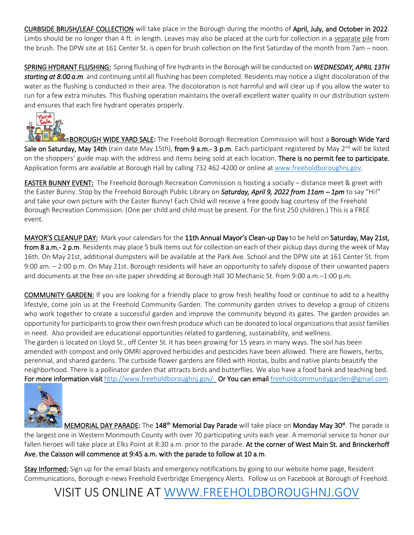CURBSIDE BRUSH/LEAF COLLECTION will take place in the Borough during the months of April, July, and October in 2022. Limbs should be no longer than 4 ft. in length. Leaves may also be placed at the curb for collection in a separate pile from the brush. The DPW site at 161 Center St. is open for brush collection on the first Saturday of the month from 7am – noon.

SPRING HYDRANT FLUSHING: Spring flushing of fire hydrants in the Borough will be conducted on *WEDNESDAY, APRIL 13TH starting at 8:00 a.m*. and continuing until all flushing has been completed. Residents may notice a slight discoloration of the water as the flushing is conducted in their area. The discoloration is not harmful and will clear up if you allow the water to run for a few extra minutes. This flushing operation maintains the overall excellent water quality in our distribution system and ensures that each fire hydrant operates properly.



BOROUGH WIDE YARD SALE: The Freehold Borough Recreation Commission will host a Borough Wide Yard Sale on Saturday, May 14th (rain date May 15th), from 9 a.m.- 3 p.m. Each participant registered by May 2<sup>nd</sup> will be listed on the shoppers' guide map with the address and items being sold at each location. There is no permit fee to participate. Application forms are available at Borough Hall by calling 732 462-4200 or online a[t www.freeholdboroughnj.gov.](http://www.freeholdboroughnj.gov/)

EASTER BUNNY EVENT: The Freehold Borough Recreation Commission is hosting a socially – distance meet & greet with the Easter Bunny. Stop by the Freehold Borough Public Library on *Saturday, April 9, 2022 from 11am – 1pm* to say "Hi!" and take your own picture with the Easter Bunny! Each Child will receive a free goody bag courtesy of the Freehold Borough Recreation Commission. (One per child and child must be present. For the first 250 children.) This is a FREE event.

MAYOR'S CLEANUP DAY: Mark your calendars for the 11th Annual Mayor's Clean-up Day to be held on Saturday, May 21st, from 8 a.m.- 2 p.m. Residents may place 5 bulk items out for collection on each of their pickup days during the week of May 16th. On May 21st, additional dumpsters will be available at the Park Ave. School and the DPW site at 161 Center St. from 9:00 am. – 2:00 p.m. On May 21st. Borough residents will have an opportunity to safely dispose of their unwanted papers and documents at the free on-site paper shredding at Borough Hall 30 Mechanic St. from 9:00 a.m.–1:00 p.m.

COMMUNITY GARDEN: If you are looking for a friendly place to grow fresh healthy food or continue to add to a healthy lifestyle, come join us at the Freehold Community Garden. The community garden strives to develop a group of citizens who work together to create a successful garden and improve the community beyond its gates. The garden provides an opportunity for participants to grow their own fresh produce which can be donated to local organizations that assist families in need. Also provided are educational opportunities related to gardening, sustainability, and wellness. The garden is located on Lloyd St., off Center St. It has been growing for 15 years in many ways. The soil has been amended with compost and only OMRI approved herbicides and pesticides have been allowed. There are flowers, herbs,

perennial, and shared gardens. The curbside flower gardens are filled with Hostas, bulbs and native plants beautify the neighborhood. There is a pollinator garden that attracts birds and butterflies. We also have a food bank and teaching bed. For more information visit <http://www.freeholdboroughnj.gov/>Or You can email [freeholdcommunitygarden@gmail.com](mailto:freeholdcommunitygarden@gmail.com)



MEMORIAL DAY PARADE: The 148<sup>th</sup> Memorial Day Parade will take place on Monday May 30<sup>st</sup>. The parade is the largest one in Western Monmouth County with over 70 participating units each year. A memorial service to honor our fallen heroes will take place at Elks Point at 8:30 a.m. prior to the parade. At the corner of West Main St. and Brinckerhoff Ave. the Caisson will commence at 9:45 a.m. with the parade to follow at 10 a.m.

Stay Informed: Sign up for the email blasts and emergency notifications by going to our website home page, Resident Communications, Borough e-news Freehold Everbridge Emergency Alerts. Follow us on Facebook at Borough of Freehold.

VISIT US ONLINE AT [WWW.FREEHOLDBOROUGHNJ.GOV](http://www.freeholdboroughnj.gov/)